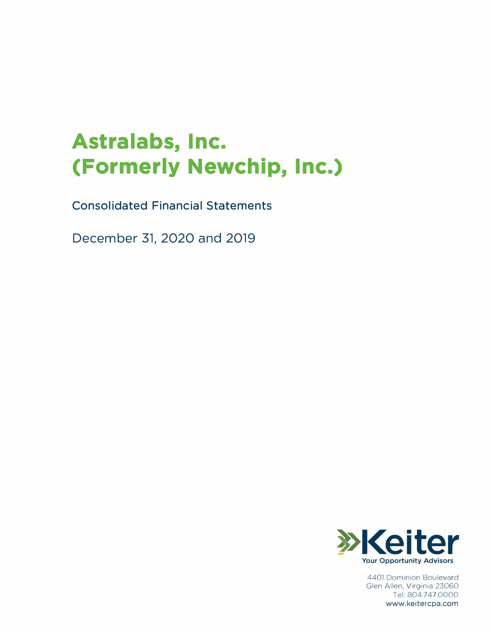# **Astralabs, Inc. (Formerly Newchip, Inc.)**

Consolidated Financial Statements

December 31, 2020 and 2019



4401 Dominion Boulevard Glen Allen, Virginia 23060 Tel: 804.747.0000 www.keitercpa.com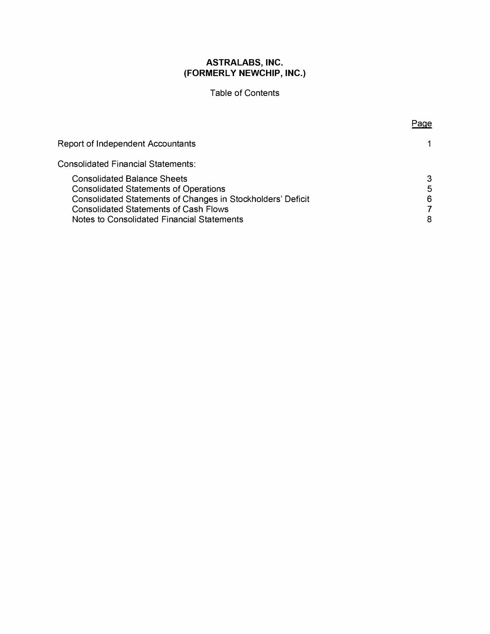# Table of Contents

Page

| Report of Independent Accountants                                                                                                                                                                                                               | 1.               |
|-------------------------------------------------------------------------------------------------------------------------------------------------------------------------------------------------------------------------------------------------|------------------|
| <b>Consolidated Financial Statements:</b>                                                                                                                                                                                                       |                  |
| <b>Consolidated Balance Sheets</b><br><b>Consolidated Statements of Operations</b><br>Consolidated Statements of Changes in Stockholders' Deficit<br><b>Consolidated Statements of Cash Flows</b><br>Notes to Consolidated Financial Statements | 3<br>5<br>6<br>8 |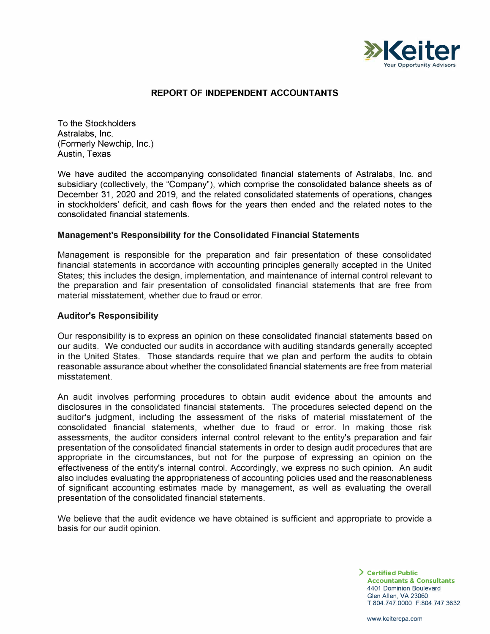

#### **REPORT OF INDEPENDENT ACCOUNTANTS**

**To the Stockholders Astralabs, Inc. (Formerly Newchip, Inc.) Austin, Texas** 

**We have audited the accompanying consolidated financial statements of Astralabs, Inc. and subsidiary (collectively, the "Company"), which comprise the consolidated balance sheets as of December 31, 2020 and 2019, and the related consolidated statements of operations, changes in stockholders' deficit, and cash flows for the years then ended and the related notes to the consolidated financial statements.** 

#### **Management's Responsibility for the Consolidated Financial Statements**

**Management is responsible for the preparation and fair presentation of these consolidated financial statements in accordance with accounting principles generally accepted in the United States; this includes the design, implementation, and maintenance of internal control relevant to the preparation and fair presentation of consolidated financial statements that are free from material misstatement, whether due to fraud or error.** 

#### **Auditor's Responsibility**

**Our responsibility is to express an opinion on these consolidated financial statements based on our audits. We conducted our audits in accordance with auditing standards generally accepted in the United States. Those standards require that we plan and perform the audits to obtain reasonable assurance about whether the consolidated financial statements are free from material misstatement.** 

**An audit involves performing procedures to obtain audit evidence about the amounts and disclosures in the consolidated financial statements. The procedures selected depend on the auditor's judgment, including the assessment of the risks of material misstatement of the consolidated financial statements, whether due to fraud or error. In making those risk assessments, the auditor considers internal control relevant to the entity's preparation and fair presentation of the consolidated financial statements in order to design audit procedures that are appropriate in the circumstances, but not for the purpose of expressing an opinion on the effectiveness of the entity's internal control. Accordingly, we express no such opinion. An audit also includes evaluating the appropriateness of accounting policies used and the reasonableness of significant accounting estimates made by management, as well as evaluating the overall presentation of the consolidated financial statements.** 

**We believe that the audit evidence we have obtained is sufficient and appropriate to provide a basis for our audit opinion.** 

> **) Certified Public Accountants** & **Consultants**  4401 Dominion Boulevard Glen Allen, VA 23060 T:804.747.0000 F:804.747.3632

www.keitercpa.com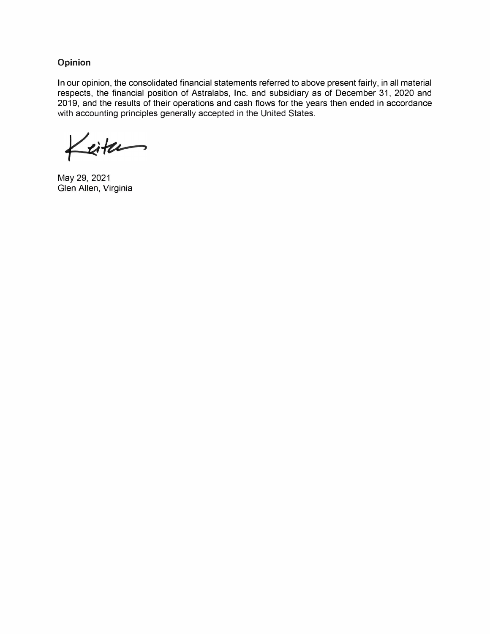**Opinion** 

**In our opinion, the consolidated financial statements referred to above present fairly, in all material respects, the financial position of Astralabs, Inc. and subsidiary as of December 31, 2020 and 2019, and the results of their operations and cash flows for the years then ended in accordance with accounting principles generally accepted in the United States.** 

Litu

**May 29, 2021 Glen Allen, Virginia**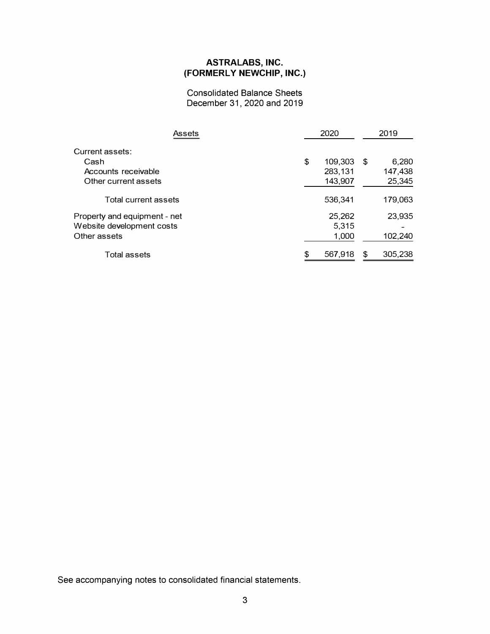**Consolidated Balance Sheets December 31, 2020 and 2019** 

| Assets                       | 2020          | 2019          |
|------------------------------|---------------|---------------|
| Current assets:              |               |               |
| Cash                         | \$<br>109,303 | \$<br>6,280   |
| Accounts receivable          | 283,131       | 147,438       |
| Other current assets         | 143,907       | 25,345        |
| Total current assets         | 536,341       | 179,063       |
| Property and equipment - net | 25,262        | 23,935        |
| Website development costs    | 5,315         |               |
| Other assets                 | 1.000         | 102,240       |
| Total assets                 | 567,918       | \$<br>305,238 |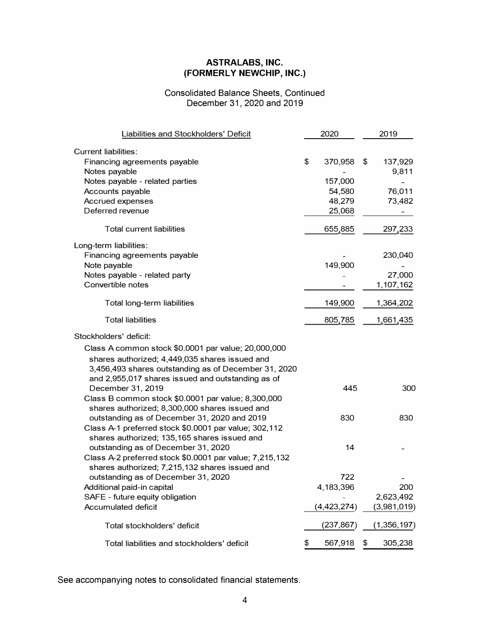## **Consolidated Balance Sheets, Continued December 31, 2020 and 2019**

| Liabilities and Stockholders' Deficit                   | 2020          | 2019          |
|---------------------------------------------------------|---------------|---------------|
| <b>Current liabilities:</b>                             |               |               |
| Financing agreements payable                            | \$<br>370,958 | \$<br>137,929 |
| Notes payable                                           |               | 9,811         |
| Notes payable - related parties                         | 157,000       |               |
| Accounts payable                                        | 54,580        | 76,011        |
| Accrued expenses                                        | 48,279        | 73,482        |
| Deferred revenue                                        | 25,068        |               |
|                                                         |               |               |
| <b>Total current liabilities</b>                        | 655,885       | 297,233       |
| Long-term liabilities:                                  |               |               |
| Financing agreements payable                            |               | 230,040       |
| Note payable                                            | 149,900       |               |
| Notes payable - related party                           |               | 27,000        |
| Convertible notes                                       |               | 1,107,162     |
| Total long-term liabilities                             | 149,900       | 1,364,202     |
| <b>Total liabilities</b>                                | 805,785       | 1,661,435     |
| Stockholders' deficit:                                  |               |               |
| Class A common stock \$0.0001 par value; 20,000,000     |               |               |
| shares authorized; 4,449,035 shares issued and          |               |               |
| 3,456,493 shares outstanding as of December 31, 2020    |               |               |
| and 2,955,017 shares issued and outstanding as of       |               |               |
| December 31, 2019                                       | 445           | 300           |
| Class B common stock \$0.0001 par value; 8,300,000      |               |               |
| shares authorized; 8,300,000 shares issued and          |               |               |
| outstanding as of December 31, 2020 and 2019            | 830           | 830           |
| Class A-1 preferred stock \$0.0001 par value; 302,112   |               |               |
| shares authorized; 135,165 shares issued and            |               |               |
| outstanding as of December 31, 2020                     | 14            |               |
| Class A-2 preferred stock \$0.0001 par value; 7,215,132 |               |               |
| shares authorized; 7,215,132 shares issued and          |               |               |
| outstanding as of December 31, 2020                     | 722           |               |
| Additional paid-in capital                              | 4,183,396     | 200           |
| SAFE - future equity obligation                         |               | 2,623,492     |
| Accumulated deficit                                     | (4,423,274)   | (3,981,019)   |
| Total stockholders' deficit                             | (237, 867)    | (1,356,197)   |
| Total liabilities and stockholders' deficit             | \$<br>567,918 | \$<br>305,238 |
|                                                         |               |               |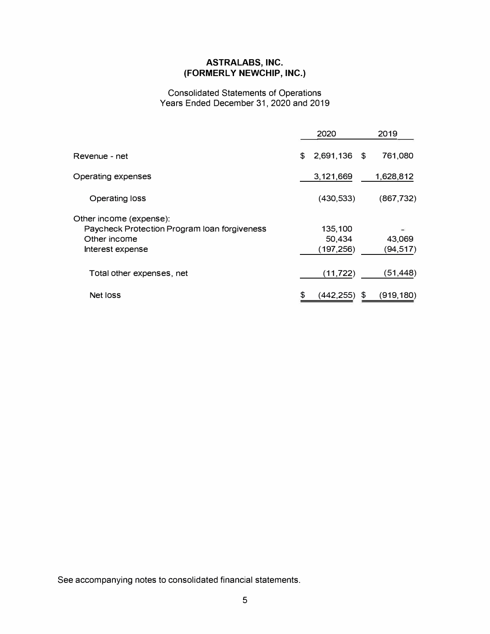## **Consolidated Statements of Operations Years Ended December 31, 2020 and 2019**

|                                                                                                             |    | 2020                            |    | 2019                |
|-------------------------------------------------------------------------------------------------------------|----|---------------------------------|----|---------------------|
| Revenue - net                                                                                               | \$ | 2,691,136 \$                    |    | 761,080             |
| Operating expenses                                                                                          |    | 3,121,669                       |    | 1,628,812           |
| Operating loss                                                                                              |    | (430, 533)                      |    | (867, 732)          |
| Other income (expense):<br>Paycheck Protection Program Ioan forgiveness<br>Other income<br>Interest expense |    | 135,100<br>50,434<br>(197, 256) |    | 43,069<br>(94, 517) |
| Total other expenses, net                                                                                   |    | (11, 722)                       |    | (51,448)            |
| Net loss                                                                                                    | S  | (442,255)                       | £. | (919,180)           |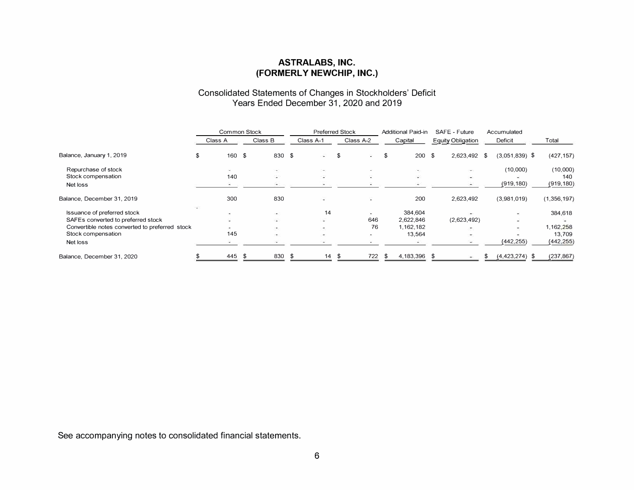#### **Consolidated Statements of Changes in Stockholders' Deficit Years Ended December 31, 2020 and 2019**

|                                                |         | Common Stock             |               |           |          | <b>Preferred Stock</b> |               | <b>Additional Paid-in</b> |     | SAFE - Future            | Accumulated                 |             |
|------------------------------------------------|---------|--------------------------|---------------|-----------|----------|------------------------|---------------|---------------------------|-----|--------------------------|-----------------------------|-------------|
|                                                | Class A |                          | Class B       | Class A-1 |          |                        | Class A-2     | Capital                   |     | <b>Equity Obligation</b> | Deficit                     | Total       |
| Balance, January 1, 2019                       | \$      | 160 \$                   | 830 \$        |           | ali i    | \$                     | $\rightarrow$ | \$<br>200                 | -\$ | 2,623,492 \$             | $(3,051,839)$ \$            | (427, 157)  |
| Repurchase of stock                            |         | in the con-              | $\frac{1}{2}$ |           | ×.       |                        |               | ۰.                        |     | ٠                        | (10,000)                    | (10,000)    |
| Stock compensation                             |         | 140                      | æ             |           | Φ        |                        |               | ÷                         |     | $\overline{\phantom{a}}$ |                             | 140         |
| Net loss                                       |         |                          |               |           |          |                        |               |                           |     |                          | (919, 180)                  | (919, 180)  |
| Balance, December 31, 2019                     |         | 300                      | 830           |           | <b>H</b> |                        | m.            | 200                       |     | 2,623,492                | (3,981,019)                 | (1,356,197) |
| Issuance of preferred stock                    |         | <b>Contract</b>          | ×.            |           | 14       |                        |               | 384.604                   |     |                          |                             | 384,618     |
| SAFEs converted to preferred stock             |         |                          | œ.            |           | $\sim$   |                        | 646           | 2,622,846                 |     | (2,623,492)              | ۰                           |             |
| Convertible notes converted to preferred stock |         | $\overline{\phantom{a}}$ | ĐΙ.           |           | 76       |                        | 76            | 1,162,182                 |     | g.                       | $\mathcal{D}^{\mathcal{A}}$ | 1,162,258   |
| Stock compensation                             |         | 145                      | $\rightarrow$ |           | $\sim$   |                        |               | 13.564                    |     | ×                        |                             | 13,709      |
| Net loss                                       |         |                          |               |           |          |                        |               |                           |     |                          | (442, 255)                  | (442, 255)  |
| Balance, December 31, 2020                     |         | 445                      | 830<br>৾৵     | - \$      | 14       | $\mathcal{S}$          | 722           | \$<br>4,183,396           |     |                          | $(4,423,274)$ \$            | (237, 867)  |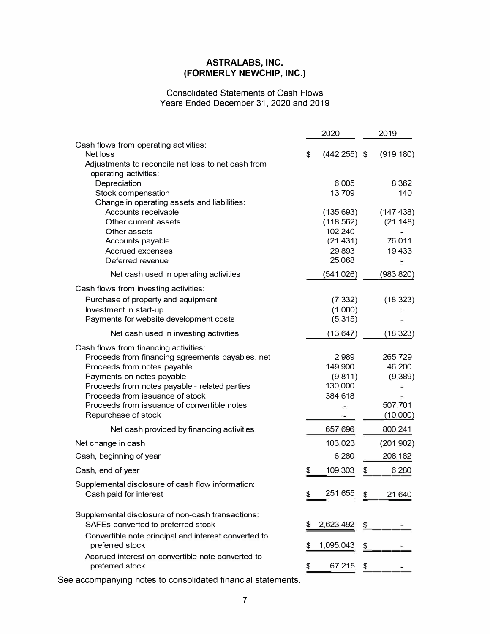## **Consolidated Statements of Cash Flows Years Ended December 31, 2020 and 2019**

|                                                                                  | 2020                  | 2019         |
|----------------------------------------------------------------------------------|-----------------------|--------------|
| Cash flows from operating activities:                                            |                       |              |
| Net loss                                                                         | \$<br>$(442, 255)$ \$ | (919, 180)   |
| Adjustments to reconcile net loss to net cash from                               |                       |              |
| operating activities:<br>Depreciation                                            | 6,005                 | 8,362        |
| Stock compensation                                                               | 13,709                | 140          |
| Change in operating assets and liabilities:                                      |                       |              |
| Accounts receivable                                                              | (135, 693)            | (147, 438)   |
| Other current assets                                                             | (118, 562)            | (21, 148)    |
| Other assets                                                                     | 102,240               |              |
| Accounts payable                                                                 | (21, 431)             | 76,011       |
| Accrued expenses<br>Deferred revenue                                             | 29,893                | 19,433       |
|                                                                                  | 25,068                |              |
| Net cash used in operating activities                                            | (541, 026)            | (983, 820)   |
| Cash flows from investing activities:                                            |                       |              |
| Purchase of property and equipment                                               | (7, 332)              | (18, 323)    |
| Investment in start-up                                                           | (1,000)               |              |
| Payments for website development costs                                           | (5, 315)              |              |
| Net cash used in investing activities                                            | (13, 647)             | (18, 323)    |
| Cash flows from financing activities:                                            |                       |              |
| Proceeds from financing agreements payables, net                                 | 2,989                 | 265,729      |
| Proceeds from notes payable                                                      | 149,900               | 46,200       |
| Payments on notes payable                                                        | (9,811)               | (9,389)      |
| Proceeds from notes payable - related parties<br>Proceeds from issuance of stock | 130,000<br>384,618    |              |
| Proceeds from issuance of convertible notes                                      |                       | 507,701      |
| Repurchase of stock                                                              |                       | (10,000)     |
| Net cash provided by financing activities                                        | 657,696               | 800,241      |
| Net change in cash                                                               | 103,023               | (201, 902)   |
| Cash, beginning of year                                                          | 6,280                 | 208,182      |
| Cash, end of year                                                                | \$<br>109,303         | \$<br>6,280  |
| Supplemental disclosure of cash flow information:                                |                       |              |
| Cash paid for interest                                                           | \$<br>251,655         | \$<br>21,640 |
| Supplemental disclosure of non-cash transactions:                                |                       |              |
| SAFEs converted to preferred stock                                               | \$<br>2,623,492       | \$           |
| Convertible note principal and interest converted to<br>preferred stock          | \$<br>1,095,043       | \$           |
| Accrued interest on convertible note converted to                                |                       |              |
| preferred stock                                                                  | \$<br>67,215          | \$           |
|                                                                                  |                       |              |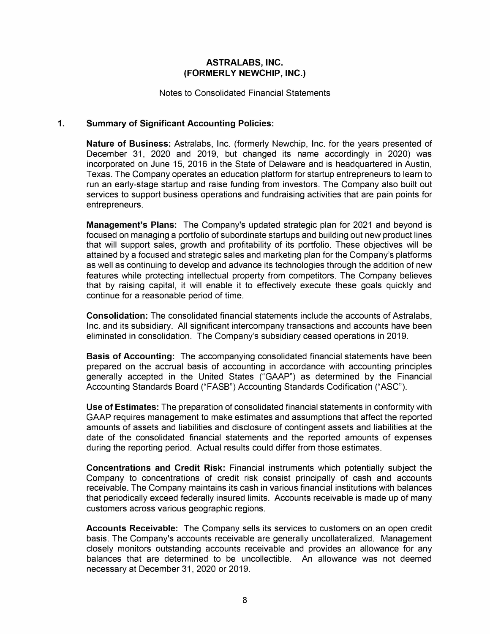**Notes to Consolidated Financial Statements** 

## **1. Summary of Significant Accounting Policies:**

**Nature of Business: Astralabs, Inc. (formerly Newchip, Inc. for the years presented of December 31, 2020 and 2019, but changed its name accordingly in 2020) was incorporated on June 15, 2016 in the State of Delaware and is headquartered in Austin, Texas. The Company operates an education platform for startup entrepreneurs to learn to run an early-stage startup and raise funding from investors. The Company also built out services to support business operations and fundraising activities that are pain points for entrepreneurs.** 

**Management's Plans: The Company's updated strategic plan for 2021 and beyond is focused on managing a portfolio of subordinate startups and building out new product lines that will support sales, growth and profitability of its portfolio. These objectives will be attained by a focused and strategic sales and marketing plan for the Company's platforms as well as continuing to develop and advance its technologies through the addition of new features while protecting intellectual property from competitors. The Company believes that by raising capital, it will enable it to effectively execute these goals quickly and continue for a reasonable period of time.** 

**Consolidation: The consolidated financial statements include the accounts of Astralabs, Inc. and its subsidiary. All significant intercompany transactions and accounts have been eliminated in consolidation. The Company's subsidiary ceased operations in 2019.** 

**Basis of Accounting: The accompanying consolidated financial statements have been prepared on the accrual basis of accounting in accordance with accounting principles generally accepted in the United States ("GAAP") as determined by the Financial Accounting Standards Board ("FASB") Accounting Standards Codification ("ASC").** 

**Use of Estimates: The preparation of consolidated financial statements in conformity with GAAP requires management to make estimates and assumptions that affect the reported amounts of assets and liabilities and disclosure of contingent assets and liabilities at the date of the consolidated financial statements and the reported amounts of expenses during the reporting period. Actual results could differ from those estimates.** 

**Concentrations and Credit Risk: Financial instruments which potentially subject the Company to concentrations of credit risk consist principally of cash and accounts receivable. The Company maintains its cash in various financial institutions with balances that periodically exceed federally insured limits. Accounts receivable is made up of many customers across various geographic regions.** 

**Accounts Receivable: The Company sells its services to customers on an open credit basis. The Company's accounts receivable are generally uncollateralized. Management closely monitors outstanding accounts receivable and provides an allowance for any balances that are determined to be uncollectible. An allowance was not deemed necessary at December 31, 2020 or 2019.**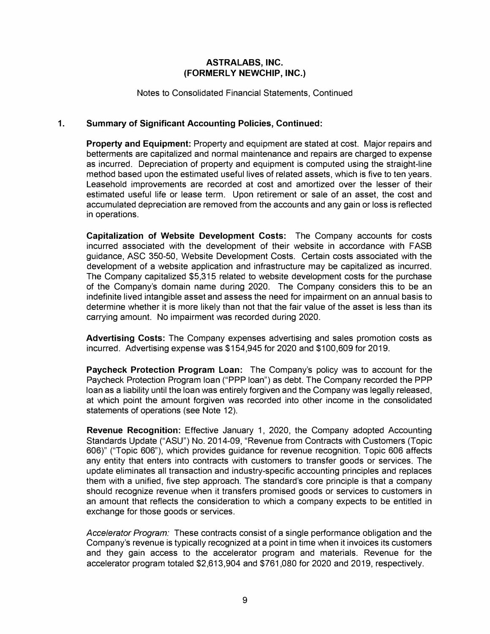**Notes to Consolidated Financial Statements, Continued** 

## **1. Summary of Significant Accounting Policies, Continued:**

**Property and Equipment: Property and equipment are stated at cost. Major repairs and betterments are capitalized and normal maintenance and repairs are charged to expense as incurred. Depreciation of property and equipment is computed using the straight-line method based upon the estimated useful lives of related assets, which is five to ten years. Leasehold improvements are recorded at cost and amortized over the lesser of their estimated useful life or lease term. Upon retirement or sale of an asset, the cost and accumulated depreciation are removed from the accounts and any gain or loss is reflected in operations.** 

**Capitalization of Website Development Costs: The Company accounts for costs incurred associated with the development of their website in accordance with FASB guidance, ASC 350-50, Website Development Costs. Certain costs associated with the development of a website application and infrastructure may be capitalized as incurred. The Company capitalized \$5,315 related to website development costs for the purchase of the Company's domain name during 2020. The Company considers this to be an indefinite lived intangible asset and assess the need for impairment on an annual basis to determine whether it is more likely than not that the fair value of the asset is less than its carrying amount. No impairment was recorded during 2020.** 

**Advertising Costs: The Company expenses advertising and sales promotion costs as incurred. Advertising expense was \$154,945 for 2020 and \$100,609 for 2019.** 

**Paycheck Protection Program Loan: The Company's policy was to account for the Paycheck Protection Program loan ("PPP loan") as debt. The Company recorded the PPP loan as a liability until the loan was entirely forgiven and the Company was legally released, at which point the amount forgiven was recorded into other income in the consolidated statements of operations (see Note 12).** 

**Revenue Recognition: Effective January 1, 2020, the Company adopted Accounting Standards Update ("ASU") No. 2014-09, "Revenue from Contracts with Customers (Topic 606)" ("Topic 606"), which provides guidance for revenue recognition. Topic 606 affects any entity that enters into contracts with customers to transfer goods or services. The update eliminates all transaction and industry-specific accounting principles and replaces them with a unified, five step approach. The standard's core principle is that a company should recognize revenue when it transfers promised goods or services to customers in an amount that reflects the consideration to which a company expects to be entitled in exchange for those goods or services.** 

*Accelerator Program:* **These contracts consist of a single performance obligation and the Company's revenue is typically recognized at a point in time when it invoices its customers and they gain access to the accelerator program and materials. Revenue for the accelerator program totaled \$2,613,904 and \$761,080 for 2020 and 2019, respectively.**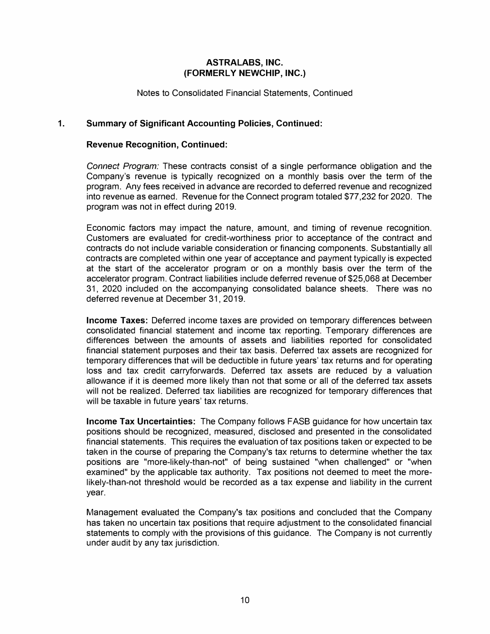**Notes to Consolidated Financial Statements, Continued** 

## **1. Summary of Significant Accounting Policies, Continued:**

#### **Revenue Recognition, Continued:**

*Connect Program:* **These contracts consist of a single performance obligation and the Company's revenue is typically recognized on a monthly basis over the term of the program. Any fees received in advance are recorded to deferred revenue and recognized into revenue as earned. Revenue for the Connect program totaled \$77,232 for 2020. The program was not in effect during 2019.** 

**Economic factors may impact the nature, amount, and timing of revenue recognition. Customers are evaluated for credit-worthiness prior to acceptance of the contract and contracts do not include variable consideration or financing components. Substantially all contracts are completed within one year of acceptance and payment typically is expected at the start of the accelerator program or on a monthly basis over the term of the accelerator program. Contract liabilities include deferred revenue of \$25,068 at December 31, 2020 included on the accompanying consolidated balance sheets. There was no deferred revenue at December 31, 2019.** 

**Income Taxes: Deferred income taxes are provided on temporary differences between consolidated financial statement and income tax reporting. Temporary differences are differences between the amounts of assets and liabilities reported for consolidated financial statement purposes and their tax basis. Deferred tax assets are recognized for temporary differences that will be deductible in future years' tax returns and for operating loss and tax credit carryforwards. Deferred tax assets are reduced by a valuation allowance if it is deemed more likely than not that some or all of the deferred tax assets will not be realized. Deferred tax liabilities are recognized for temporary differences that will be taxable in future years' tax returns.** 

**Income Tax Uncertainties: The Company follows FASB guidance for how uncertain tax positions should be recognized, measured, disclosed and presented in the consolidated financial statements. This requires the evaluation of tax positions taken or expected to be taken in the course of preparing the Company's tax returns to determine whether the tax positions are "more-likely-than-not" of being sustained "when challenged" or "when examined" by the applicable tax authority. Tax positions not deemed to meet the morelikely-than-not threshold would be recorded as a tax expense and liability in the current year.** 

**Management evaluated the Company's tax positions and concluded that the Company has taken no uncertain tax positions that require adjustment to the consolidated financial statements to comply with the provisions of this guidance. The Company is not currently under audit by any tax jurisdiction.**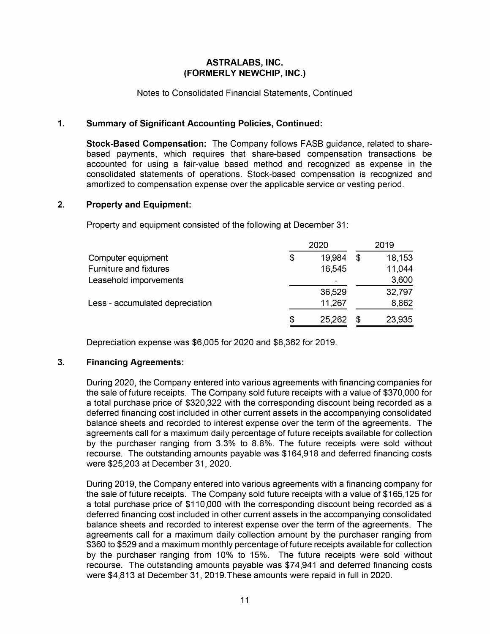#### **Notes to Consolidated Financial Statements, Continued**

## **1. Summary of Significant Accounting Policies, Continued:**

**Stock-Based Compensation: The Company follows FASB guidance, related to sharebased payments, which requires that share-based compensation transactions be accounted for using a fair-value based method and recognized as expense in the consolidated statements of operations. Stock-based compensation is recognized and amortized to compensation expense over the applicable service or vesting period.** 

#### **2. Property and Equipment:**

**Property and equipment consisted of the following at December 31:** 

|                                 | 2020         |   | 2019   |
|---------------------------------|--------------|---|--------|
| Computer equipment              | \$<br>19.984 | S | 18,153 |
| <b>Furniture and fixtures</b>   | 16,545       |   | 11,044 |
| Leasehold imporvements          | v.           |   | 3,600  |
|                                 | 36,529       |   | 32,797 |
| Less - accumulated depreciation | 11,267       |   | 8,862  |
|                                 | \$<br>25,262 | S | 23,935 |

**Depreciation expense was \$6,005 for 2020 and \$8,362 for 2019.** 

## **3. Financing Agreements:**

**During 2020, the Company entered into various agreements with financing companies for the sale of future receipts. The Company sold future receipts with a value of \$370,000 for a total purchase price of \$320,322 with the corresponding discount being recorded as a deferred financing cost included in other current assets in the accompanying consolidated balance sheets and recorded to interest expense over the term of the agreements. The agreements call for a maximum daily percentage of future receipts available for collection by the purchaser ranging from 3.3% to 8.8%. The future receipts were sold without recourse. The outstanding amounts payable was \$164,918 and deferred financing costs were \$25,203 at December 31, 2020.** 

**During 2019, the Company entered into various agreements with a financing company for the sale of future receipts. The Company sold future receipts with a value of \$165,125 for a total purchase price of \$110,000 with the corresponding discount being recorded as a deferred financing cost included in other current assets in the accompanying consolidated balance sheets and recorded to interest expense over the term of the agreements. The agreements call for a maximum daily collection amount by the purchaser ranging from \$360 to \$529 and a maximum monthly percentage of future receipts available for collection by the purchaser ranging from 10% to 15%. The future receipts were sold without recourse. The outstanding amounts payable was \$74,941 and deferred financing costs were \$4,813 at December 31, 2019.These amounts were repaid in full in 2020.**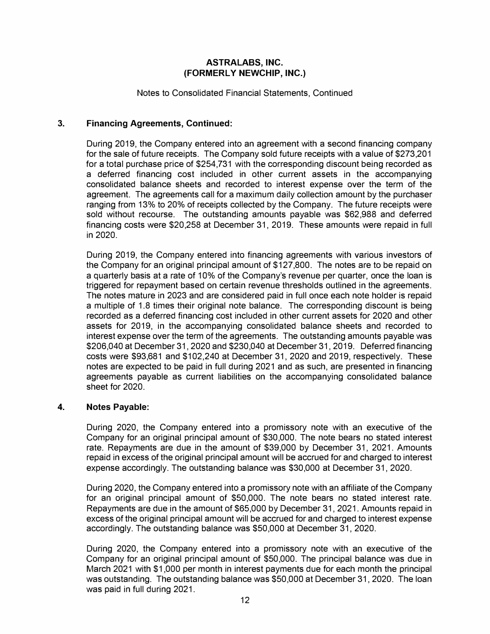#### **Notes to Consolidated Financial Statements, Continued**

## **3. Financing Agreements, Continued:**

**During 2019, the Company entered into an agreement with a second financing company for the sale of future receipts. The Company sold future receipts with a value of \$273,201 for a total purchase price of \$254,731 with the corresponding discount being recorded as a deferred financing cost included in other current assets in the accompanying consolidated balance sheets and recorded to interest expense over the term of the agreement. The agreements call for a maximum daily collection amount by the purchaser ranging from 13% to 20% of receipts collected by the Company. The future receipts were sold without recourse. The outstanding amounts payable was \$62,988 and deferred financing costs were \$20,258 at December 31, 2019. These amounts were repaid in full in 2020.** 

**During 2019, the Company entered into financing agreements with various investors of the Company for an original principal amount of \$127,800. The notes are to be repaid on a quarterly basis at a rate of 10% of the Company's revenue per quarter, once the loan is triggered for repayment based on certain revenue thresholds outlined in the agreements. The notes mature in 2023 and are considered paid in full once each note holder is repaid a multiple of 1.8 times their original note balance. The corresponding discount is being recorded as a deferred financing cost included in other current assets for 2020 and other assets for 2019, in the accompanying consolidated balance sheets and recorded to interest expense over the term of the agreements. The outstanding amounts payable was \$206,040 at December 31, 2020 and \$230,040 at December 31, 2019. Deferred financing costs were \$93,681 and \$102,240 at December 31, 2020 and 2019, respectively. These notes are expected to be paid in full during 2021 and as such, are presented in financing agreements payable as current liabilities on the accompanying consolidated balance sheet for 2020.** 

## **4. Notes Payable:**

**During 2020, the Company entered into a promissory note with an executive of the Company for an original principal amount of \$30,000. The note bears no stated interest rate. Repayments are due in the amount of \$39,000 by December 31, 2021. Amounts repaid in excess of the original principal amount will be accrued for and charged to interest expense accordingly. The outstanding balance was \$30,000 at December 31, 2020.** 

**During 2020, the Company entered into a promissory note with an affiliate of the Company for an original principal amount of \$50,000. The note bears no stated interest rate. Repayments are due in the amount of \$65,000 by December 31, 2021. Amounts repaid in excess of the original principal amount will be accrued for and charged to interest expense accordingly. The outstanding balance was \$50,000 at December 31, 2020.** 

**During 2020, the Company entered into a promissory note with an executive of the Company for an original principal amount of \$50,000. The principal balance was due in March 2021 with \$1,000 per month in interest payments due for each month the principal was outstanding. The outstanding balance was \$50,000 at December 31, 2020. The loan was paid in full during 2021.**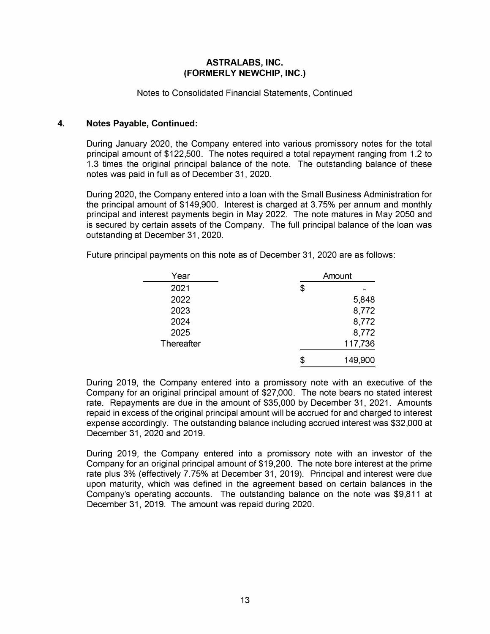#### **Notes to Consolidated Financial Statements, Continued**

#### **4. Notes Payable, Continued:**

**During January 2020, the Company entered into various promissory notes for the total principal amount of \$122,500. The notes required a total repayment ranging from 1.2 to 1.3 times the original principal balance of the note. The outstanding balance of these notes was paid in full as of December 31, 2020.** 

**During 2020, the Company entered into a loan with the Small Business Administration for the principal amount of \$149,900. Interest is charged at 3.75% per annum and monthly principal and interest payments begin in May 2022. The note matures in May 2050 and is secured by certain assets of the Company. The full principal balance of the loan was outstanding at December 31, 2020.** 

| Year       |   | Amount  |
|------------|---|---------|
| 2021       | S |         |
| 2022       |   | 5,848   |
| 2023       |   | 8,772   |
| 2024       |   | 8,772   |
| 2025       |   | 8,772   |
| Thereafter |   | 117,736 |
|            |   | 149,900 |

**Future principal payments on this note as of December 31, 2020 are as follows:** 

**During 2019, the Company entered into a promissory note with an executive of the Company for an original principal amount of \$27,000. The note bears no stated interest rate. Repayments are due in the amount of \$35,000 by December 31, 2021. Amounts repaid in excess of the original principal amount will be accrued for and charged to interest expense accordingly. The outstanding balance including accrued interest was \$32,000 at December 31, 2020 and 2019.** 

**During 2019, the Company entered into a promissory note with an investor of the Company for an original principal amount of \$19,200. The note bore interest at the prime rate plus 3% (effectively 7.75% at December 31, 2019). Principal and interest were due upon maturity, which was defined in the agreement based on certain balances in the Company's operating accounts. The outstanding balance on the note was \$9,811 at December 31, 2019. The amount was repaid during 2020.**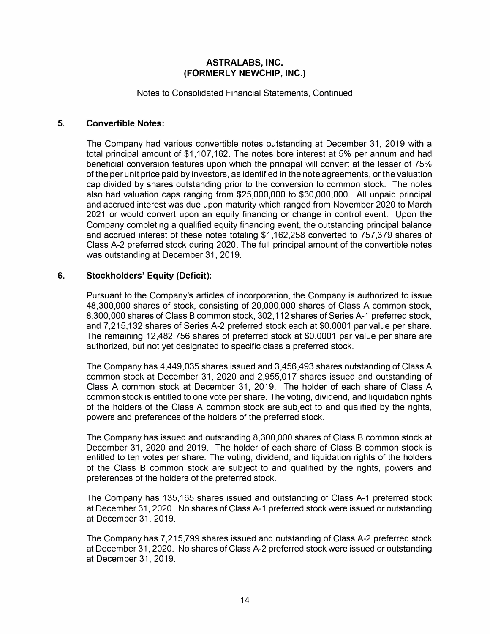**Notes to Consolidated Financial Statements, Continued** 

#### **5. Convertible Notes:**

**The Company had various convertible notes outstanding at December 31, 2019 with a total principal amount of \$1,107,162. The notes bore interest at 5% per annum and had beneficial conversion features upon which the principal will convert at the lesser of 75% of the per unit price paid by investors, as identified in the note agreements, or the valuation cap divided by shares outstanding prior to the conversion to common stock. The notes also had valuation caps ranging from \$25,000,000 to \$30,000,000. All unpaid principal and accrued interest was due upon maturity which ranged from November 2020 to March 2021 or would convert upon an equity financing or change in control event. Upon the Company completing a qualified equity financing event, the outstanding principal balance and accrued interest of these notes totaling \$1,162,258 converted to 757,379 shares of Class A-2 preferred stock during 2020. The full principal amount of the convertible notes was outstanding at December 31, 2019.** 

#### **6. Stockholders' Equity (Deficit):**

**Pursuant to the Company's articles of incorporation, the Company is authorized to issue 48,300,000 shares of stock, consisting of 20,000,000 shares of Class A common stock, 8,300,000 shares of Class B common stock, 302,112 shares of Series A-1 preferred stock, and 7,215,132 shares of Series A-2 preferred stock each at \$0.0001 par value per share. The remaining 12,482,756 shares of preferred stock at \$0.0001 par value per share are authorized, but not yet designated to specific class a preferred stock.** 

**The Company has 4,449,035 shares issued and 3,456,493 shares outstanding of Class A common stock at December 31, 2020 and 2,955,017 shares issued and outstanding of Class A common stock at December 31, 2019. The holder of each share of Class A common stock is entitled to one vote per share. The voting, dividend, and liquidation rights of the holders of the Class A common stock are subject to and qualified by the rights, powers and preferences of the holders of the preferred stock.** 

**The Company has issued and outstanding 8,300,000 shares of Class B common stock at December 31, 2020 and 2019. The holder of each share of Class B common stock is entitled to ten votes per share. The voting, dividend, and liquidation rights of the holders of the Class B common stock are subject to and qualified by the rights, powers and preferences of the holders of the preferred stock.** 

**The Company has 135,165 shares issued and outstanding of Class A-1 preferred stock at December 31, 2020. No shares of Class A-1 preferred stock were issued or outstanding at December 31, 2019.** 

**The Company has 7,215,799 shares issued and outstanding of Class A-2 preferred stock at December 31, 2020. No shares of Class A-2 preferred stock were issued or outstanding at December 31, 2019.**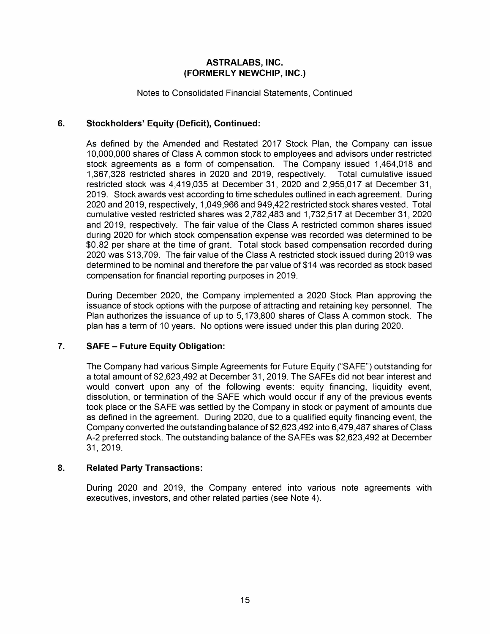**Notes to Consolidated Financial Statements, Continued** 

# **6. Stockholders' Equity (Deficit), Continued:**

**As defined by the Amended and Restated 2017 Stock Plan, the Company can issue 10,000,000 shares of Class A common stock to employees and advisors under restricted stock agreements as a form of compensation. The Company issued 1,464,018 and 1,367,328 restricted shares in 2020 and 2019, respectively. Total cumulative issued restricted stock was 4,419,035 at December 31, 2020 and 2,955,017 at December 31, 2019. Stock awards vest according to time schedules outlined in each agreement. During 2020 and 2019, respectively, 1,049,966 and 949,422 restricted stock shares vested. Total cumulative vested restricted shares was 2,782,483 and 1,732,517 at December 31, 2020 and 2019, respectively. The fair value of the Class A restricted common shares issued during 2020 for which stock compensation expense was recorded was determined to be \$0.82 per share at the time of grant. Total stock based compensation recorded during 2020 was \$13,709. The fair value of the Class A restricted stock issued during 2019 was determined to be nominal and therefore the par value of \$14 was recorded as stock based compensation for financial reporting purposes in 2019.** 

**During December 2020, the Company implemented a 2020 Stock Plan approving the issuance of stock options with the purpose of attracting and retaining key personnel. The Plan authorizes the issuance of up to 5, 173,800 shares of Class A common stock. The plan has a term of 10 years. No options were issued under this plan during 2020.** 

## **7. SAFE - Future Equity Obligation:**

**The Company had various Simple Agreements for Future Equity ("SAFE") outstanding for a total amount of \$2,623,492 at December 31, 2019. The SAFEs did not bear interest and would convert upon any of the following events: equity financing, liquidity event, dissolution, or termination of the SAFE which would occur if any of the previous events took place or the SAFE was settled by the Company in stock or payment of amounts due as defined in the agreement. During 2020, due to a qualified equity financing event, the Company converted the outstanding balance of \$2,623,492 into 6,479,487 shares of Class A-2 preferred stock. The outstanding balance of the SAFEs was \$2,623,492 at December 31, 2019.** 

## **8. Related Party Transactions:**

**During 2020 and 2019, the Company entered into various note agreements with executives, investors, and other related parties (see Note 4).**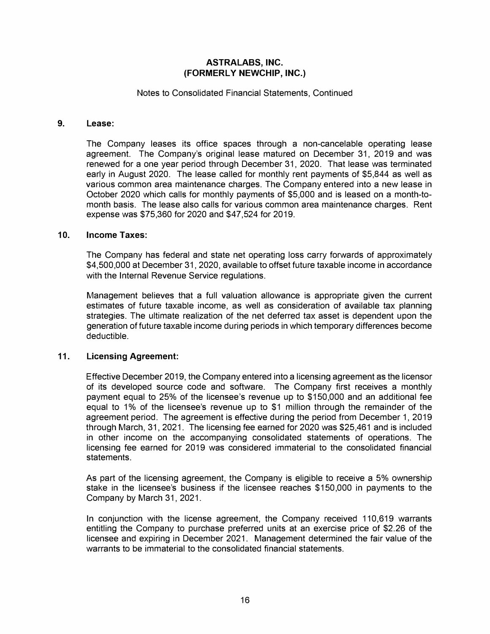#### **Notes to Consolidated Financial Statements, Continued**

#### **9. Lease:**

**The Company leases its office spaces through a non-cancelable operating lease agreement. The Company's original lease matured on December 31, 2019 and was renewed for a one year period through December 31, 2020. That lease was terminated early in August 2020. The lease called for monthly rent payments of \$5,844 as well as various common area maintenance charges. The Company entered into a new lease in October 2020 which calls for monthly payments of \$5,000 and is leased on a month-tomonth basis. The lease also calls for various common area maintenance charges. Rent expense was \$75,360 for 2020 and \$47,524 for 2019.** 

#### **10. Income Taxes:**

**The Company has federal and state net operating loss carry forwards of approximately \$4,500,000 at December 31, 2020, available to offset future taxable income in accordance with the Internal Revenue Service regulations.** 

**Management believes that a full valuation allowance is appropriate given the current estimates of future taxable income, as well as consideration of available tax planning strategies. The ultimate realization of the net deferred tax asset is dependent upon the generation of future taxable income during periods in which temporary differences become deductible.** 

## **11. Licensing Agreement:**

**Effective December 2019, the Company entered into a licensing agreement as the licensor of its developed source code and software. The Company first receives a monthly payment equal to 25% of the licensee's revenue up to \$150,000 and an additional fee**  equal to 1% of the licensee's revenue up to \$1 million through the remainder of the **agreement period. The agreement is effective during the period from December 1, 2019 through March, 31, 2021. The licensing fee earned for 2020 was \$25,461 and is included in other income on the accompanying consolidated statements of operations. The licensing fee earned for 2019 was considered immaterial to the consolidated financial statements.** 

**As part of the licensing agreement, the Company is eligible to receive a 5% ownership stake in the licensee's business if the licensee reaches \$150,000 in payments to the Company by March 31, 2021.** 

**In conjunction with the license agreement, the Company received 110,619 warrants entitling the Company to purchase preferred units at an exercise price of \$2.26 of the licensee and expiring in December 2021. Management determined the fair value of the warrants to be immaterial to the consolidated financial statements.**